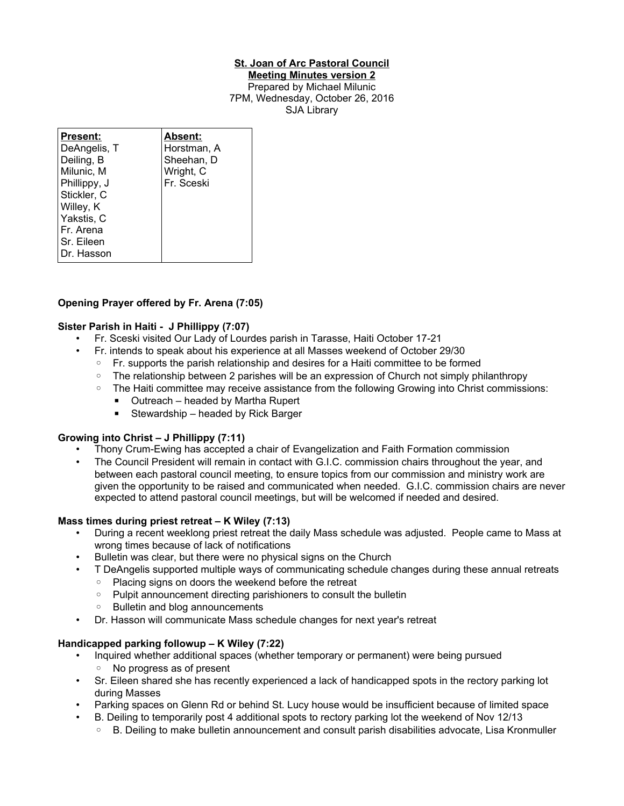# **St. Joan of Arc Pastoral Council**

**Meeting Minutes version 2** Prepared by Michael Milunic 7PM, Wednesday, October 26, 2016 SJA Library

| <b>Present:</b> | Absent:     |
|-----------------|-------------|
| DeAngelis, T    | Horstman, A |
| Deiling, B      | Sheehan, D  |
| Milunic, M      | Wright, C   |
| Phillippy, J    | Fr. Sceski  |
| Stickler, C     |             |
| Willey, K       |             |
| Yakstis, C      |             |
| Fr. Arena       |             |
| Sr. Eileen      |             |
| Dr. Hasson      |             |

# **Opening Prayer offered by Fr. Arena (7:05)**

### **Sister Parish in Haiti - J Phillippy (7:07)**

- Fr. Sceski visited Our Lady of Lourdes parish in Tarasse, Haiti October 17-21
	- Fr. intends to speak about his experience at all Masses weekend of October 29/30
		- Fr. supports the parish relationship and desires for a Haiti committee to be formed
		- The relationship between 2 parishes will be an expression of Church not simply philanthropy
		- The Haiti committee may receive assistance from the following Growing into Christ commissions:
			- Outreach headed by Martha Rupert
			- Stewardship headed by Rick Barger

### **Growing into Christ – J Phillippy (7:11)**

- Thony Crum-Ewing has accepted a chair of Evangelization and Faith Formation commission
- The Council President will remain in contact with G.I.C. commission chairs throughout the year, and between each pastoral council meeting, to ensure topics from our commission and ministry work are given the opportunity to be raised and communicated when needed. G.I.C. commission chairs are never expected to attend pastoral council meetings, but will be welcomed if needed and desired.

### **Mass times during priest retreat – K Wiley (7:13)**

- During a recent weeklong priest retreat the daily Mass schedule was adjusted. People came to Mass at wrong times because of lack of notifications
- Bulletin was clear, but there were no physical signs on the Church
- T DeAngelis supported multiple ways of communicating schedule changes during these annual retreats
	- Placing signs on doors the weekend before the retreat
	- Pulpit announcement directing parishioners to consult the bulletin
	- Bulletin and blog announcements
- Dr. Hasson will communicate Mass schedule changes for next year's retreat

# **Handicapped parking followup – K Wiley (7:22)**

- Inquired whether additional spaces (whether temporary or permanent) were being pursued ◦ No progress as of present
- Sr. Eileen shared she has recently experienced a lack of handicapped spots in the rectory parking lot during Masses
- Parking spaces on Glenn Rd or behind St. Lucy house would be insufficient because of limited space
	- B. Deiling to temporarily post 4 additional spots to rectory parking lot the weekend of Nov 12/13
	- B. Deiling to make bulletin announcement and consult parish disabilities advocate, Lisa Kronmuller